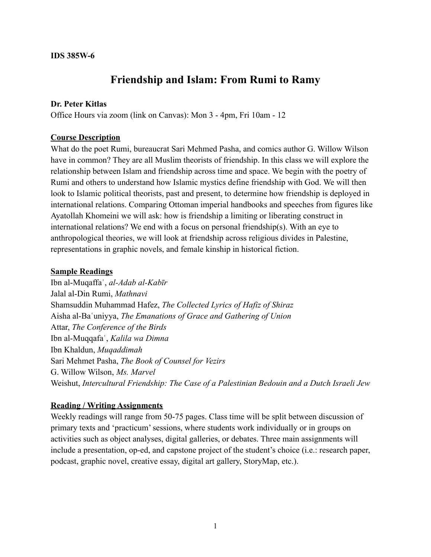#### **IDS 385W-6**

# **Friendship and Islam: From Rumi to Ramy**

#### **Dr. Peter Kitlas**

Office Hours via zoom (link on Canvas): Mon 3 - 4pm, Fri 10am - 12

### **Course Description**

What do the poet Rumi, bureaucrat Sari Mehmed Pasha, and comics author G. Willow Wilson have in common? They are all Muslim theorists of friendship. In this class we will explore the relationship between Islam and friendship across time and space. We begin with the poetry of Rumi and others to understand how Islamic mystics define friendship with God. We will then look to Islamic political theorists, past and present, to determine how friendship is deployed in international relations. Comparing Ottoman imperial handbooks and speeches from figures like Ayatollah Khomeini we will ask: how is friendship a limiting or liberating construct in international relations? We end with a focus on personal friendship(s). With an eye to anthropological theories, we will look at friendship across religious divides in Palestine, representations in graphic novels, and female kinship in historical fiction.

#### **Sample Readings**

Ibn al-Muqaffaʿ, *al-Adab al-Kabīr* Jalal al-Din Rumi, *Mathnavi* Shamsuddin Muhammad Hafez, *The Collected Lyrics of Hafiz of Shiraz* Aisha al-Baʿuniyya, *The Emanations of Grace and Gathering of Union* Attar, *The Conference of the Birds* Ibn al-Muqqafaʿ, *Kalila wa Dimna* Ibn Khaldun, *Muqaddimah* Sari Mehmet Pasha, *The Book of Counsel for Vezirs* G. Willow Wilson, *Ms. Marvel* Weishut, *Intercultural Friendship: The Case of a Palestinian Bedouin and a Dutch Israeli Jew*

#### **Reading / Writing Assignments**

Weekly readings will range from 50-75 pages. Class time will be split between discussion of primary texts and 'practicum' sessions, where students work individually or in groups on activities such as object analyses, digital galleries, or debates. Three main assignments will include a presentation, op-ed, and capstone project of the student's choice (i.e.: research paper, podcast, graphic novel, creative essay, digital art gallery, StoryMap, etc.).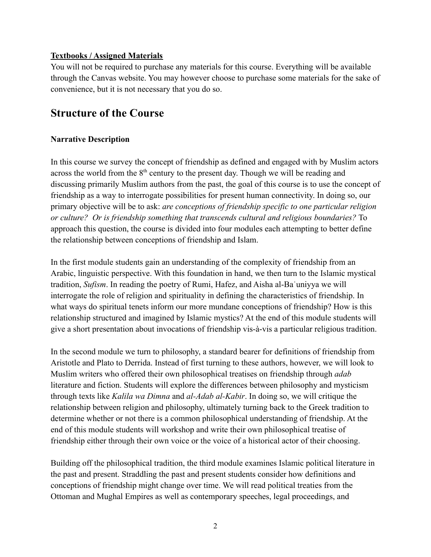### **Textbooks / Assigned Materials**

You will not be required to purchase any materials for this course. Everything will be available through the Canvas website. You may however choose to purchase some materials for the sake of convenience, but it is not necessary that you do so.

# **Structure of the Course**

# **Narrative Description**

In this course we survey the concept of friendship as defined and engaged with by Muslim actors across the world from the 8<sup>th</sup> century to the present day. Though we will be reading and discussing primarily Muslim authors from the past, the goal of this course is to use the concept of friendship as a way to interrogate possibilities for present human connectivity. In doing so, our primary objective will be to ask: *are conceptions of friendship specific to one particular religion or culture? Or is friendship something that transcends cultural and religious boundaries?* To approach this question, the course is divided into four modules each attempting to better define the relationship between conceptions of friendship and Islam.

In the first module students gain an understanding of the complexity of friendship from an Arabic, linguistic perspective. With this foundation in hand, we then turn to the Islamic mystical tradition, *Sufism*. In reading the poetry of Rumi, Hafez, and Aisha al-Baʿuniyya we will interrogate the role of religion and spirituality in defining the characteristics of friendship. In what ways do spiritual tenets inform our more mundane conceptions of friendship? How is this relationship structured and imagined by Islamic mystics? At the end of this module students will give a short presentation about invocations of friendship vis-à-vis a particular religious tradition.

In the second module we turn to philosophy, a standard bearer for definitions of friendship from Aristotle and Plato to Derrida. Instead of first turning to these authors, however, we will look to Muslim writers who offered their own philosophical treatises on friendship through *adab* literature and fiction. Students will explore the differences between philosophy and mysticism through texts like *Kalila wa Dimna* and *al-Adab al-Kabir*. In doing so, we will critique the relationship between religion and philosophy, ultimately turning back to the Greek tradition to determine whether or not there is a common philosophical understanding of friendship. At the end of this module students will workshop and write their own philosophical treatise of friendship either through their own voice or the voice of a historical actor of their choosing.

Building off the philosophical tradition, the third module examines Islamic political literature in the past and present. Straddling the past and present students consider how definitions and conceptions of friendship might change over time. We will read political treaties from the Ottoman and Mughal Empires as well as contemporary speeches, legal proceedings, and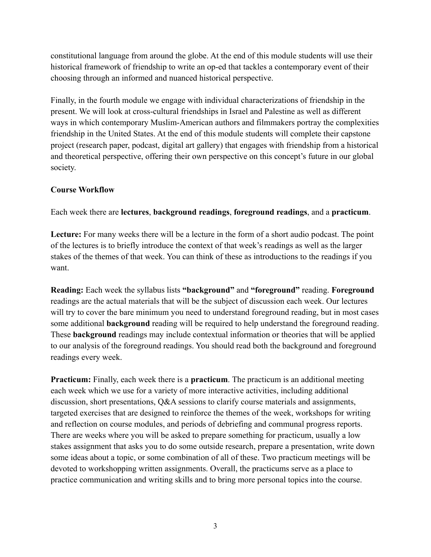constitutional language from around the globe. At the end of this module students will use their historical framework of friendship to write an op-ed that tackles a contemporary event of their choosing through an informed and nuanced historical perspective.

Finally, in the fourth module we engage with individual characterizations of friendship in the present. We will look at cross-cultural friendships in Israel and Palestine as well as different ways in which contemporary Muslim-American authors and filmmakers portray the complexities friendship in the United States. At the end of this module students will complete their capstone project (research paper, podcast, digital art gallery) that engages with friendship from a historical and theoretical perspective, offering their own perspective on this concept's future in our global society.

### **Course Workflow**

Each week there are **lectures**, **background readings**, **foreground readings**, and a **practicum**.

**Lecture:** For many weeks there will be a lecture in the form of a short audio podcast. The point of the lectures is to briefly introduce the context of that week's readings as well as the larger stakes of the themes of that week. You can think of these as introductions to the readings if you want.

**Reading:** Each week the syllabus lists **"background"** and **"foreground"** reading. **Foreground** readings are the actual materials that will be the subject of discussion each week. Our lectures will try to cover the bare minimum you need to understand foreground reading, but in most cases some additional **background** reading will be required to help understand the foreground reading. These **background** readings may include contextual information or theories that will be applied to our analysis of the foreground readings. You should read both the background and foreground readings every week.

**Practicum:** Finally, each week there is a **practicum**. The practicum is an additional meeting each week which we use for a variety of more interactive activities, including additional discussion, short presentations, Q&A sessions to clarify course materials and assignments, targeted exercises that are designed to reinforce the themes of the week, workshops for writing and reflection on course modules, and periods of debriefing and communal progress reports. There are weeks where you will be asked to prepare something for practicum, usually a low stakes assignment that asks you to do some outside research, prepare a presentation, write down some ideas about a topic, or some combination of all of these. Two practicum meetings will be devoted to workshopping written assignments. Overall, the practicums serve as a place to practice communication and writing skills and to bring more personal topics into the course.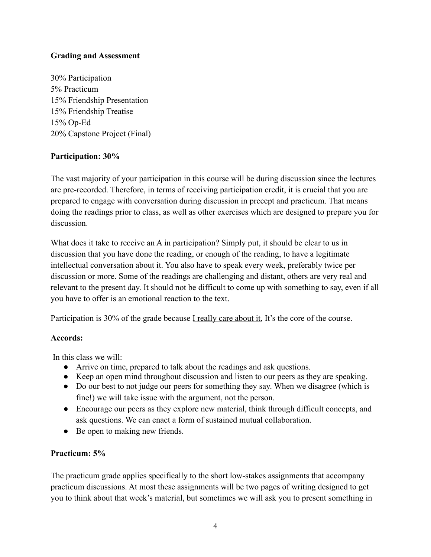# **Grading and Assessment**

30% Participation 5% Practicum 15% Friendship Presentation 15% Friendship Treatise 15% Op-Ed 20% Capstone Project (Final)

### **Participation: 30%**

The vast majority of your participation in this course will be during discussion since the lectures are pre-recorded. Therefore, in terms of receiving participation credit, it is crucial that you are prepared to engage with conversation during discussion in precept and practicum. That means doing the readings prior to class, as well as other exercises which are designed to prepare you for discussion.

What does it take to receive an A in participation? Simply put, it should be clear to us in discussion that you have done the reading, or enough of the reading, to have a legitimate intellectual conversation about it. You also have to speak every week, preferably twice per discussion or more. Some of the readings are challenging and distant, others are very real and relevant to the present day. It should not be difficult to come up with something to say, even if all you have to offer is an emotional reaction to the text.

Participation is 30% of the grade because I really care about it. It's the core of the course.

### **Accords:**

In this class we will:

- Arrive on time, prepared to talk about the readings and ask questions.
- Keep an open mind throughout discussion and listen to our peers as they are speaking.
- Do our best to not judge our peers for something they say. When we disagree (which is fine!) we will take issue with the argument, not the person.
- Encourage our peers as they explore new material, think through difficult concepts, and ask questions. We can enact a form of sustained mutual collaboration.
- Be open to making new friends.

### **Practicum: 5%**

The practicum grade applies specifically to the short low-stakes assignments that accompany practicum discussions. At most these assignments will be two pages of writing designed to get you to think about that week's material, but sometimes we will ask you to present something in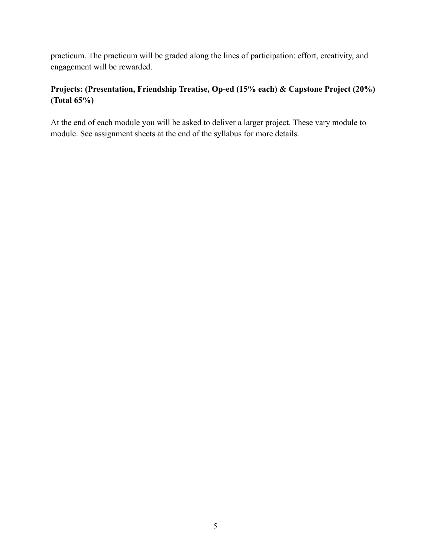practicum. The practicum will be graded along the lines of participation: effort, creativity, and engagement will be rewarded.

# **Projects: (Presentation, Friendship Treatise, Op-ed (15% each) & Capstone Project (20%) (Total 65%)**

At the end of each module you will be asked to deliver a larger project. These vary module to module. See assignment sheets at the end of the syllabus for more details.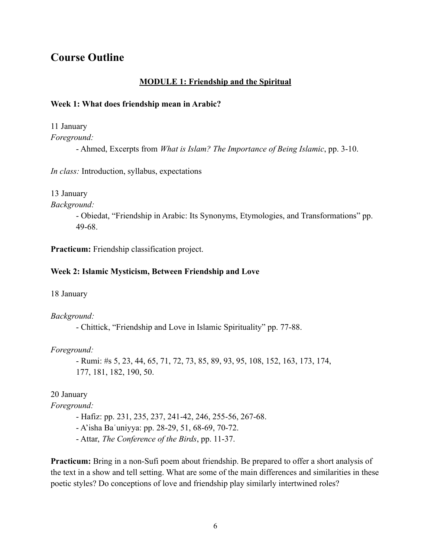# **Course Outline**

### **MODULE 1: Friendship and the Spiritual**

#### **Week 1: What does friendship mean in Arabic?**

11 January

*Foreground:*

- Ahmed, Excerpts from *What is Islam? The Importance of Being Islamic*, pp. 3-10.

*In class:* Introduction, syllabus, expectations

13 January

*Background:*

- Obiedat, "Friendship in Arabic: Its Synonyms, Etymologies, and Transformations" pp. 49-68.

**Practicum:** Friendship classification project.

#### **Week 2: Islamic Mysticism, Between Friendship and Love**

18 January

*Background:*

- Chittick, "Friendship and Love in Islamic Spirituality" pp. 77-88.

*Foreground:*

- Rumi: #s 5, 23, 44, 65, 71, 72, 73, 85, 89, 93, 95, 108, 152, 163, 173, 174, 177, 181, 182, 190, 50.

20 January

*Foreground:*

- Hafiz: pp. 231, 235, 237, 241-42, 246, 255-56, 267-68.
- A'isha Baʿuniyya: pp. 28-29, 51, 68-69, 70-72.
- Attar, *The Conference of the Birds*, pp. 11-37.

**Practicum:** Bring in a non-Sufi poem about friendship. Be prepared to offer a short analysis of the text in a show and tell setting. What are some of the main differences and similarities in these poetic styles? Do conceptions of love and friendship play similarly intertwined roles?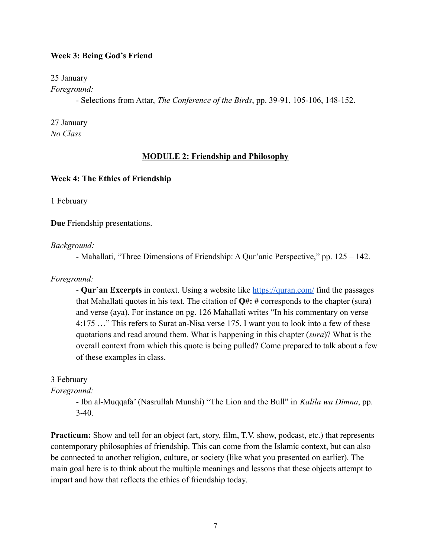#### **Week 3: Being God's Friend**

25 January

*Foreground:*

- Selections from Attar, *The Conference of the Birds*, pp. 39-91, 105-106, 148-152.

27 January *No Class*

#### **MODULE 2: Friendship and Philosophy**

#### **Week 4: The Ethics of Friendship**

1 February

**Due** Friendship presentations.

*Background:*

- Mahallati, "Three Dimensions of Friendship: A Qur'anic Perspective," pp. 125 – 142.

*Foreground:*

- **Qur'an Excerpts** in context. Using a website like <https://quran.com/> find the passages that Mahallati quotes in his text. The citation of **Q#: #** corresponds to the chapter (sura) and verse (aya). For instance on pg. 126 Mahallati writes "In his commentary on verse 4:175 …" This refers to Surat an-Nisa verse 175. I want you to look into a few of these quotations and read around them. What is happening in this chapter (*sura*)? What is the overall context from which this quote is being pulled? Come prepared to talk about a few of these examples in class.

#### 3 February

*Foreground:*

- Ibn al-Muqqafa' (Nasrullah Munshi) "The Lion and the Bull" in *Kalila wa Dimna*, pp. 3-40.

**Practicum:** Show and tell for an object (art, story, film, T.V. show, podcast, etc.) that represents contemporary philosophies of friendship. This can come from the Islamic context, but can also be connected to another religion, culture, or society (like what you presented on earlier). The main goal here is to think about the multiple meanings and lessons that these objects attempt to impart and how that reflects the ethics of friendship today.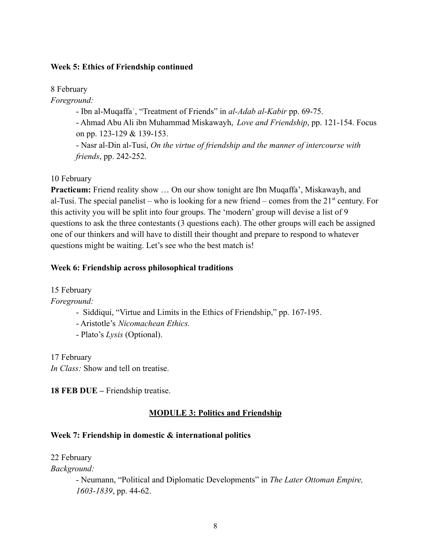#### **Week 5: Ethics of Friendship continued**

8 February

*Foreground:*

- Ibn al-Muqaffaʿ, "Treatment of Friends" in *al-Adab al-Kabir* pp. 69-75.

- Ahmad Abu Ali ibn Muhammad Miskawayh, *Love and Friendship*, pp. 121-154. Focus on pp. 123-129 & 139-153.

- Nasr al-Din al-Tusi, *On the virtue of friendship and the manner of intercourse with friends*, pp. 242-252.

10 February

**Practicum:** Friend reality show ... On our show tonight are Ibn Muqaffa', Miskawayh, and al-Tusi. The special panelist – who is looking for a new friend – comes from the  $21<sup>st</sup>$  century. For this activity you will be split into four groups. The 'modern' group will devise a list of 9 questions to ask the three contestants (3 questions each). The other groups will each be assigned one of our thinkers and will have to distill their thought and prepare to respond to whatever questions might be waiting. Let's see who the best match is!

# **Week 6: Friendship across philosophical traditions**

15 February

*Foreground:*

- Siddiqui, "Virtue and Limits in the Ethics of Friendship," pp. 167-195.

- Aristotle's *Nicomachean Ethics.*

- Plato's *Lysis* (Optional).

17 February *In Class:* Show and tell on treatise.

**18 FEB DUE –** Friendship treatise.

# **MODULE 3: Politics and Friendship**

### **Week 7: Friendship in domestic & international politics**

22 February

*Background:*

- Neumann, "Political and Diplomatic Developments" in *The Later Ottoman Empire, 1603-1839*, pp. 44-62.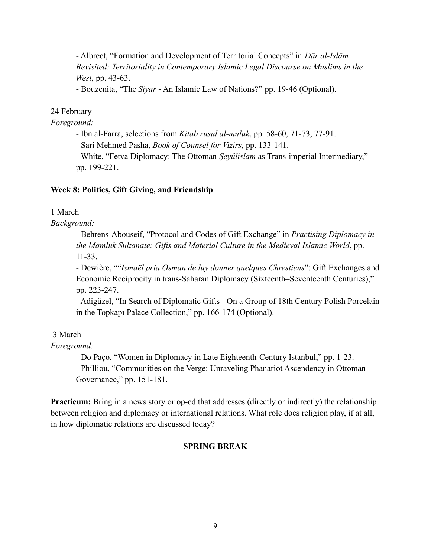- Albrect, "Formation and Development of Territorial Concepts" in *Dār al-Islām Revisited: Territoriality in Contemporary Islamic Legal Discourse on Muslims in the West*, pp. 43-63.

- Bouzenita, "The *Siyar* - An Islamic Law of Nations?" pp. 19-46 (Optional).

# 24 February

*Foreground:*

- Ibn al-Farra, selections from *Kitab rusul al-muluk*, pp. 58-60, 71-73, 77-91.

- Sari Mehmed Pasha, *Book of Counsel for Vizirs,* pp. 133-141.

- White, "Fetva Diplomacy: The Ottoman *Şeyülislam* as Trans-imperial Intermediary," pp. 199-221.

# **Week 8: Politics, Gift Giving, and Friendship**

1 March

*Background:*

- Behrens-Abouseif, "Protocol and Codes of Gift Exchange" in *Practising Diplomacy in the Mamluk Sultanate: Gifts and Material Culture in the Medieval Islamic World*, pp. 11-33.

- Dewière, ""*Ismaël pria Osman de luy donner quelques Chrestiens*": Gift Exchanges and Economic Reciprocity in trans-Saharan Diplomacy (Sixteenth–Seventeenth Centuries)," pp. 223-247.

- Adigüzel, "In Search of Diplomatic Gifts - On a Group of 18th Century Polish Porcelain in the Topkapı Palace Collection," pp. 166-174 (Optional).

3 March

*Foreground:*

- Do Paço, "Women in Diplomacy in Late Eighteenth-Century Istanbul," pp. 1-23.

- Philliou, "Communities on the Verge: Unraveling Phanariot Ascendency in Ottoman Governance," pp. 151-181.

**Practicum:** Bring in a news story or op-ed that addresses (directly or indirectly) the relationship between religion and diplomacy or international relations. What role does religion play, if at all, in how diplomatic relations are discussed today?

# **SPRING BREAK**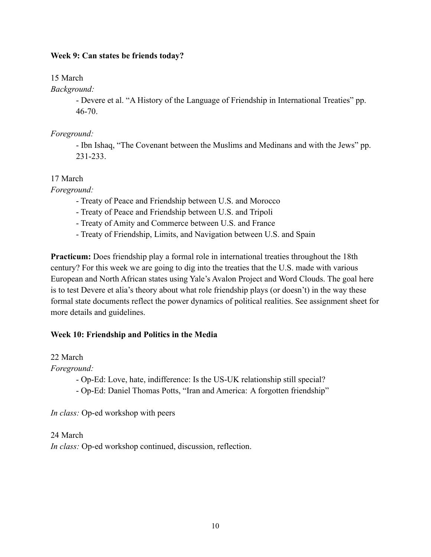### **Week 9: Can states be friends today?**

15 March

*Background:*

- Devere et al. "A History of the Language of Friendship in International Treaties" pp. 46-70.

## *Foreground:*

- Ibn Ishaq, "The Covenant between the Muslims and Medinans and with the Jews" pp. 231-233.

# 17 March

*Foreground:*

- Treaty of Peace and Friendship between U.S. and Morocco
- Treaty of Peace and Friendship between U.S. and Tripoli
- Treaty of Amity and Commerce between U.S. and France
- Treaty of Friendship, Limits, and Navigation between U.S. and Spain

**Practicum:** Does friendship play a formal role in international treaties throughout the 18th century? For this week we are going to dig into the treaties that the U.S. made with various European and North African states using Yale's Avalon Project and Word Clouds. The goal here is to test Devere et alia's theory about what role friendship plays (or doesn't) in the way these formal state documents reflect the power dynamics of political realities. See assignment sheet for more details and guidelines.

# **Week 10: Friendship and Politics in the Media**

### 22 March

*Foreground:*

- Op-Ed: Love, hate, indifference: Is the US-UK relationship still special?
- Op-Ed: Daniel Thomas Potts, "Iran and America: A forgotten friendship"

*In class:* Op-ed workshop with peers

24 March *In class:* Op-ed workshop continued, discussion, reflection.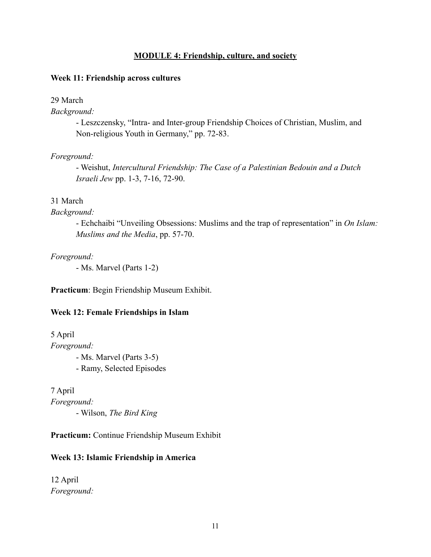#### **MODULE 4: Friendship, culture, and society**

#### **Week 11: Friendship across cultures**

#### 29 March

*Background:*

- Leszczensky, "Intra- and Inter-group Friendship Choices of Christian, Muslim, and Non-religious Youth in Germany," pp. 72-83.

#### *Foreground:*

- Weishut, *Intercultural Friendship: The Case of a Palestinian Bedouin and a Dutch Israeli Jew* pp. 1-3, 7-16, 72-90.

#### 31 March

#### *Background:*

- Echchaibi "Unveiling Obsessions: Muslims and the trap of representation" in *On Islam: Muslims and the Media*, pp. 57-70.

*Foreground:*

- Ms. Marvel (Parts 1-2)

**Practicum**: Begin Friendship Museum Exhibit.

#### **Week 12: Female Friendships in Islam**

5 April *Foreground:* - Ms. Marvel (Parts 3-5) - Ramy, Selected Episodes

7 April *Foreground:* - Wilson, *The Bird King*

**Practicum:** Continue Friendship Museum Exhibit

#### **Week 13: Islamic Friendship in America**

12 April *Foreground:*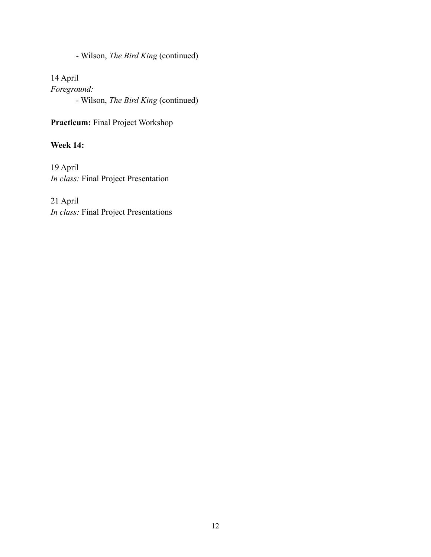- Wilson, *The Bird King* (continued)

14 April *Foreground:* - Wilson, *The Bird King* (continued)

**Practicum:** Final Project Workshop

**Week 14:**

19 April *In class:* Final Project Presentation

21 April *In class:* Final Project Presentations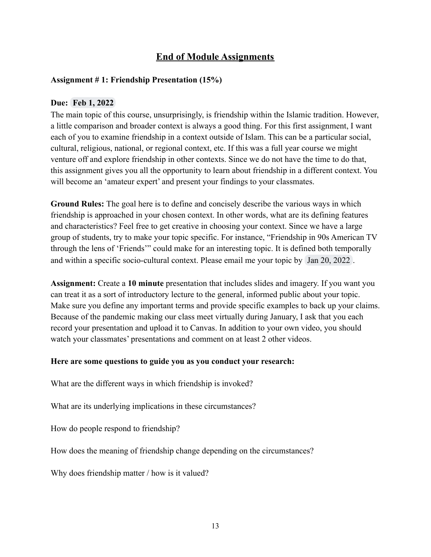# **End of Module Assignments**

#### **Assignment # 1: Friendship Presentation (15%)**

#### **Due: Feb 1, 2022**

The main topic of this course, unsurprisingly, is friendship within the Islamic tradition. However, a little comparison and broader context is always a good thing. For this first assignment, I want each of you to examine friendship in a context outside of Islam. This can be a particular social, cultural, religious, national, or regional context, etc. If this was a full year course we might venture off and explore friendship in other contexts. Since we do not have the time to do that, this assignment gives you all the opportunity to learn about friendship in a different context. You will become an 'amateur expert' and present your findings to your classmates.

**Ground Rules:** The goal here is to define and concisely describe the various ways in which friendship is approached in your chosen context. In other words, what are its defining features and characteristics? Feel free to get creative in choosing your context. Since we have a large group of students, try to make your topic specific. For instance, "Friendship in 90s American TV through the lens of 'Friends'" could make for an interesting topic. It is defined both temporally and within a specific socio-cultural context. Please email me your topic by Jan 20, 2022 .

**Assignment:** Create a **10 minute** presentation that includes slides and imagery. If you want you can treat it as a sort of introductory lecture to the general, informed public about your topic. Make sure you define any important terms and provide specific examples to back up your claims. Because of the pandemic making our class meet virtually during January, I ask that you each record your presentation and upload it to Canvas. In addition to your own video, you should watch your classmates' presentations and comment on at least 2 other videos.

#### **Here are some questions to guide you as you conduct your research:**

What are the different ways in which friendship is invoked?

What are its underlying implications in these circumstances?

How do people respond to friendship?

How does the meaning of friendship change depending on the circumstances?

Why does friendship matter / how is it valued?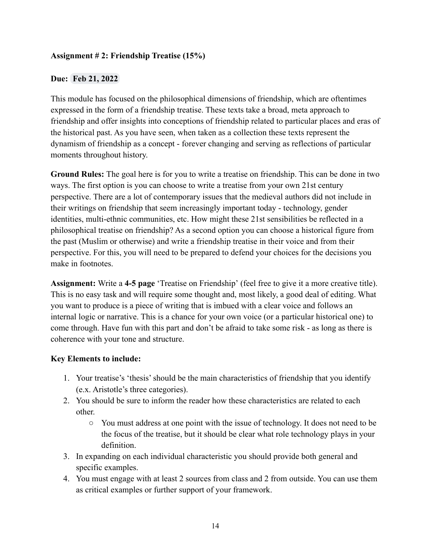## **Assignment # 2: Friendship Treatise (15%)**

## **Due: Feb 21, 2022**

This module has focused on the philosophical dimensions of friendship, which are oftentimes expressed in the form of a friendship treatise. These texts take a broad, meta approach to friendship and offer insights into conceptions of friendship related to particular places and eras of the historical past. As you have seen, when taken as a collection these texts represent the dynamism of friendship as a concept - forever changing and serving as reflections of particular moments throughout history.

**Ground Rules:** The goal here is for you to write a treatise on friendship. This can be done in two ways. The first option is you can choose to write a treatise from your own 21st century perspective. There are a lot of contemporary issues that the medieval authors did not include in their writings on friendship that seem increasingly important today - technology, gender identities, multi-ethnic communities, etc. How might these 21st sensibilities be reflected in a philosophical treatise on friendship? As a second option you can choose a historical figure from the past (Muslim or otherwise) and write a friendship treatise in their voice and from their perspective. For this, you will need to be prepared to defend your choices for the decisions you make in footnotes.

**Assignment:** Write a **4-5 page** 'Treatise on Friendship' (feel free to give it a more creative title). This is no easy task and will require some thought and, most likely, a good deal of editing. What you want to produce is a piece of writing that is imbued with a clear voice and follows an internal logic or narrative. This is a chance for your own voice (or a particular historical one) to come through. Have fun with this part and don't be afraid to take some risk - as long as there is coherence with your tone and structure.

### **Key Elements to include:**

- 1. Your treatise's 'thesis' should be the main characteristics of friendship that you identify (e.x. Aristotle's three categories).
- 2. You should be sure to inform the reader how these characteristics are related to each other.
	- You must address at one point with the issue of technology. It does not need to be the focus of the treatise, but it should be clear what role technology plays in your definition.
- 3. In expanding on each individual characteristic you should provide both general and specific examples.
- 4. You must engage with at least 2 sources from class and 2 from outside. You can use them as critical examples or further support of your framework.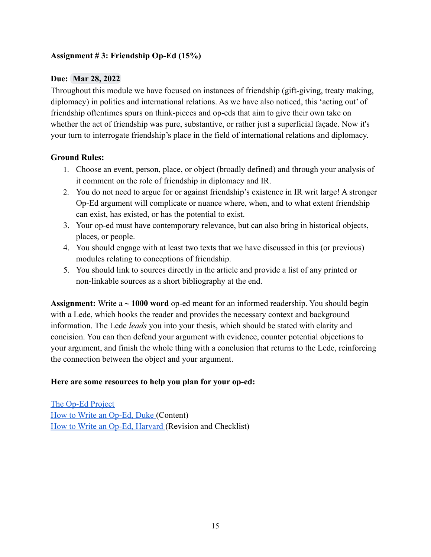# **Assignment # 3: Friendship Op-Ed (15%)**

### **Due: Mar 28, 2022**

Throughout this module we have focused on instances of friendship (gift-giving, treaty making, diplomacy) in politics and international relations. As we have also noticed, this 'acting out' of friendship oftentimes spurs on think-pieces and op-eds that aim to give their own take on whether the act of friendship was pure, substantive, or rather just a superficial façade. Now it's your turn to interrogate friendship's place in the field of international relations and diplomacy.

# **Ground Rules:**

- 1. Choose an event, person, place, or object (broadly defined) and through your analysis of it comment on the role of friendship in diplomacy and IR.
- 2. You do not need to argue for or against friendship's existence in IR writ large! A stronger Op-Ed argument will complicate or nuance where, when, and to what extent friendship can exist, has existed, or has the potential to exist.
- 3. Your op-ed must have contemporary relevance, but can also bring in historical objects, places, or people.
- 4. You should engage with at least two texts that we have discussed in this (or previous) modules relating to conceptions of friendship.
- 5. You should link to sources directly in the article and provide a list of any printed or non-linkable sources as a short bibliography at the end.

**Assignment:** Write a **~ 1000 word** op-ed meant for an informed readership. You should begin with a Lede, which hooks the reader and provides the necessary context and background information. The Lede *leads* you into your thesis, which should be stated with clarity and concision. You can then defend your argument with evidence, counter potential objections to your argument, and finish the whole thing with a conclusion that returns to the Lede, reinforcing the connection between the object and your argument.

### **Here are some resources to help you plan for your op-ed:**

[The Op-Ed Project](https://www.theopedproject.org/oped-basics) [How to Write an Op-Ed, Duke](https://www.umass.edu/pep/sites/default/files/how_to_write_an_oped-duke_2.pdf) (Content) [How to Write an Op-Ed, Harvard](https://projects.iq.harvard.edu/files/hks-communications-program/files/new_seglin_how_to_write_an_oped_1_25_17_7.pdf) (Revision and Checklist)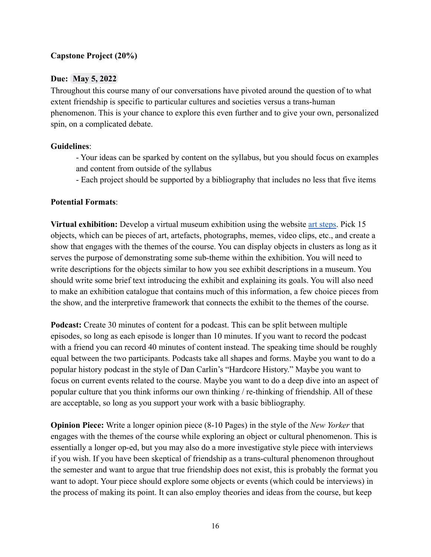## **Capstone Project (20%)**

### **Due: May 5, 2022**

Throughout this course many of our conversations have pivoted around the question of to what extent friendship is specific to particular cultures and societies versus a trans-human phenomenon. This is your chance to explore this even further and to give your own, personalized spin, on a complicated debate.

### **Guidelines**:

- Your ideas can be sparked by content on the syllabus, but you should focus on examples and content from outside of the syllabus

- Each project should be supported by a bibliography that includes no less that five items

#### **Potential Formats**:

**Virtual exhibition:** Develop a virtual museum exhibition using the website [art steps.](https://www.artsteps.com/) Pick 15 objects, which can be pieces of art, artefacts, photographs, memes, video clips, etc., and create a show that engages with the themes of the course. You can display objects in clusters as long as it serves the purpose of demonstrating some sub-theme within the exhibition. You will need to write descriptions for the objects similar to how you see exhibit descriptions in a museum. You should write some brief text introducing the exhibit and explaining its goals. You will also need to make an exhibition catalogue that contains much of this information, a few choice pieces from the show, and the interpretive framework that connects the exhibit to the themes of the course.

**Podcast:** Create 30 minutes of content for a podcast. This can be split between multiple episodes, so long as each episode is longer than 10 minutes. If you want to record the podcast with a friend you can record 40 minutes of content instead. The speaking time should be roughly equal between the two participants. Podcasts take all shapes and forms. Maybe you want to do a popular history podcast in the style of Dan Carlin's "Hardcore History." Maybe you want to focus on current events related to the course. Maybe you want to do a deep dive into an aspect of popular culture that you think informs our own thinking / re-thinking of friendship. All of these are acceptable, so long as you support your work with a basic bibliography.

**Opinion Piece:** Write a longer opinion piece (8-10 Pages) in the style of the *New Yorker* that engages with the themes of the course while exploring an object or cultural phenomenon. This is essentially a longer op-ed, but you may also do a more investigative style piece with interviews if you wish. If you have been skeptical of friendship as a trans-cultural phenomenon throughout the semester and want to argue that true friendship does not exist, this is probably the format you want to adopt. Your piece should explore some objects or events (which could be interviews) in the process of making its point. It can also employ theories and ideas from the course, but keep